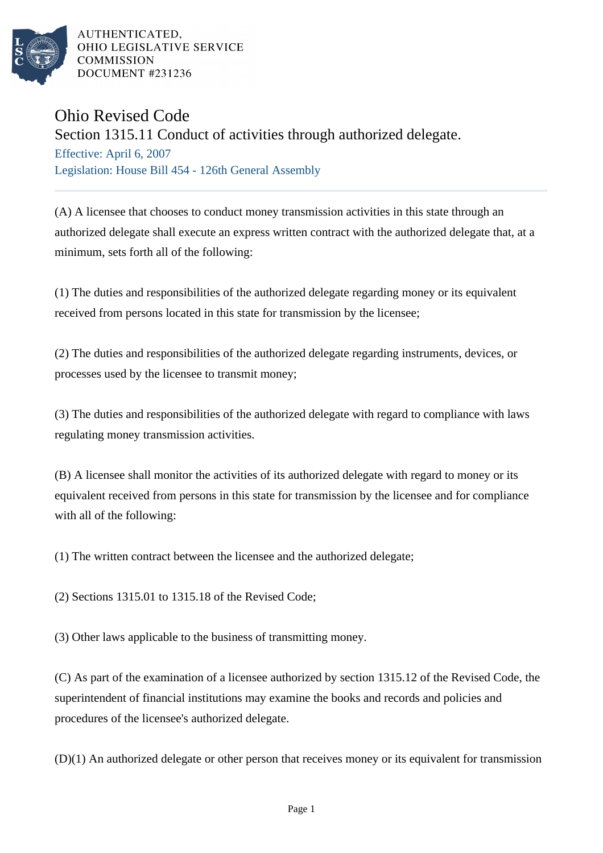

AUTHENTICATED. OHIO LEGISLATIVE SERVICE **COMMISSION** DOCUMENT #231236

## Ohio Revised Code

## Section 1315.11 Conduct of activities through authorized delegate.

Effective: April 6, 2007 Legislation: House Bill 454 - 126th General Assembly

(A) A licensee that chooses to conduct money transmission activities in this state through an authorized delegate shall execute an express written contract with the authorized delegate that, at a minimum, sets forth all of the following:

(1) The duties and responsibilities of the authorized delegate regarding money or its equivalent received from persons located in this state for transmission by the licensee;

(2) The duties and responsibilities of the authorized delegate regarding instruments, devices, or processes used by the licensee to transmit money;

(3) The duties and responsibilities of the authorized delegate with regard to compliance with laws regulating money transmission activities.

(B) A licensee shall monitor the activities of its authorized delegate with regard to money or its equivalent received from persons in this state for transmission by the licensee and for compliance with all of the following:

(1) The written contract between the licensee and the authorized delegate;

(2) Sections 1315.01 to 1315.18 of the Revised Code;

(3) Other laws applicable to the business of transmitting money.

(C) As part of the examination of a licensee authorized by section 1315.12 of the Revised Code, the superintendent of financial institutions may examine the books and records and policies and procedures of the licensee's authorized delegate.

(D)(1) An authorized delegate or other person that receives money or its equivalent for transmission